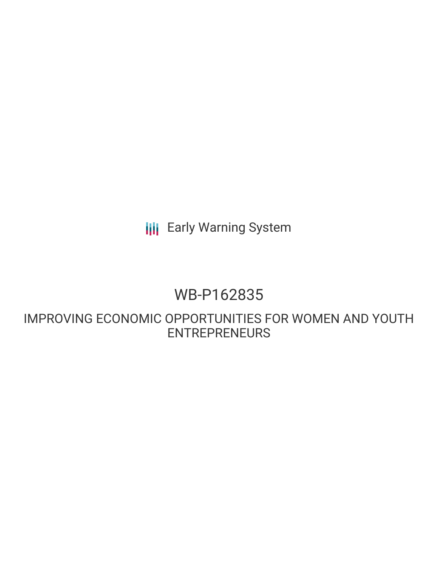**III** Early Warning System

## WB-P162835

IMPROVING ECONOMIC OPPORTUNITIES FOR WOMEN AND YOUTH ENTREPRENEURS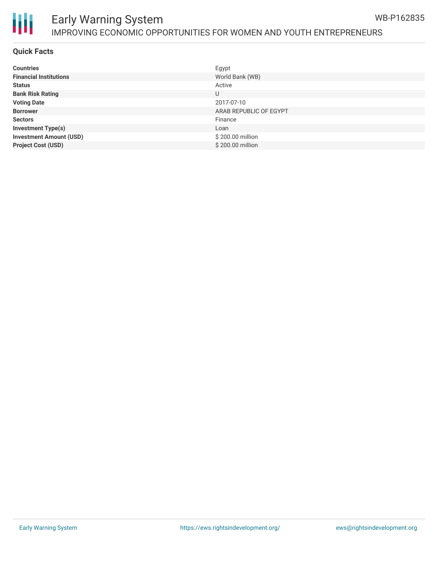

#### Early Warning System IMPROVING ECONOMIC OPPORTUNITIES FOR WOMEN AND YOUTH ENTREPRENEURS WB-P162835

#### **Quick Facts**

| <b>Countries</b>               | Egypt                  |
|--------------------------------|------------------------|
| <b>Financial Institutions</b>  | World Bank (WB)        |
| <b>Status</b>                  | Active                 |
| <b>Bank Risk Rating</b>        | U                      |
| <b>Voting Date</b>             | 2017-07-10             |
| <b>Borrower</b>                | ARAB REPUBLIC OF EGYPT |
| <b>Sectors</b>                 | Finance                |
| <b>Investment Type(s)</b>      | Loan                   |
| <b>Investment Amount (USD)</b> | \$200.00 million       |
| <b>Project Cost (USD)</b>      | \$200.00 million       |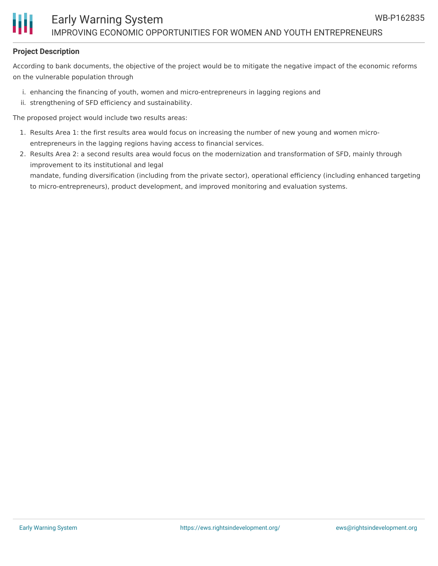#### **Project Description**

According to bank documents, the objective of the project would be to mitigate the negative impact of the economic reforms on the vulnerable population through

- i. enhancing the financing of youth, women and micro-entrepreneurs in lagging regions and
- ii. strengthening of SFD efficiency and sustainability.

The proposed project would include two results areas:

- 1. Results Area 1: the first results area would focus on increasing the number of new young and women microentrepreneurs in the lagging regions having access to financial services.
- 2. Results Area 2: a second results area would focus on the modernization and transformation of SFD, mainly through improvement to its institutional and legal mandate, funding diversification (including from the private sector), operational efficiency (including enhanced targeting to micro-entrepreneurs), product development, and improved monitoring and evaluation systems.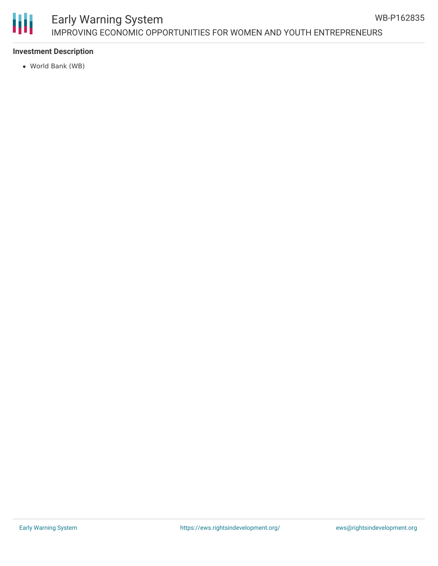# Ш

### Early Warning System IMPROVING ECONOMIC OPPORTUNITIES FOR WOMEN AND YOUTH ENTREPRENEURS

#### **Investment Description**

World Bank (WB)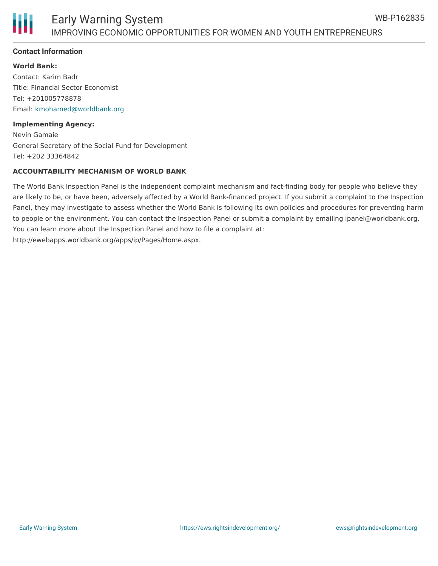

#### **Contact Information**

#### **World Bank:**

Contact: Karim Badr Title: Financial Sector Economist Tel: +201005778878 Email: [kmohamed@worldbank.org](mailto:kmohamed@worldbank.org)

#### **Implementing Agency:**

Nevin Gamaie General Secretary of the Social Fund for Development Tel: +202 33364842

#### **ACCOUNTABILITY MECHANISM OF WORLD BANK**

The World Bank Inspection Panel is the independent complaint mechanism and fact-finding body for people who believe they are likely to be, or have been, adversely affected by a World Bank-financed project. If you submit a complaint to the Inspection Panel, they may investigate to assess whether the World Bank is following its own policies and procedures for preventing harm to people or the environment. You can contact the Inspection Panel or submit a complaint by emailing ipanel@worldbank.org. You can learn more about the Inspection Panel and how to file a complaint at: http://ewebapps.worldbank.org/apps/ip/Pages/Home.aspx.